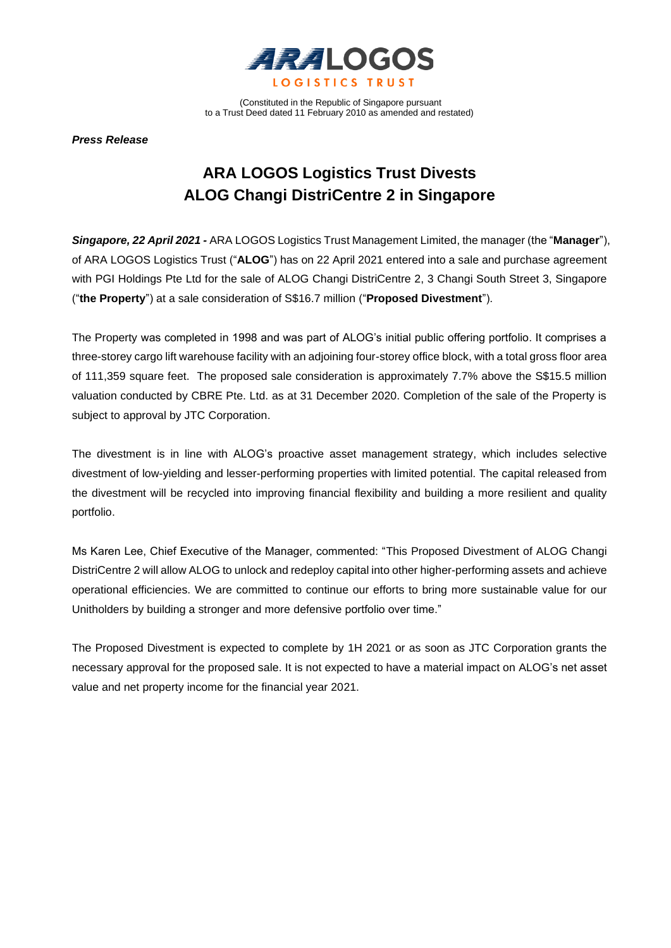

(Constituted in the Republic of Singapore pursuant to a Trust Deed dated 11 February 2010 as amended and restated)

*Press Release*

## **ARA LOGOS Logistics Trust Divests ALOG Changi DistriCentre 2 in Singapore**

*Singapore, 22 April 2021 -* ARA LOGOS Logistics Trust Management Limited, the manager (the "**Manager**"), of ARA LOGOS Logistics Trust ("**ALOG**") has on 22 April 2021 entered into a sale and purchase agreement with PGI Holdings Pte Ltd for the sale of ALOG Changi DistriCentre 2, 3 Changi South Street 3, Singapore ("**the Property**") at a sale consideration of S\$16.7 million ("**Proposed Divestment**").

The Property was completed in 1998 and was part of ALOG's initial public offering portfolio. It comprises a three-storey cargo lift warehouse facility with an adjoining four-storey office block, with a total gross floor area of 111,359 square feet. The proposed sale consideration is approximately 7.7% above the S\$15.5 million valuation conducted by CBRE Pte. Ltd. as at 31 December 2020. Completion of the sale of the Property is subject to approval by JTC Corporation.

The divestment is in line with ALOG's proactive asset management strategy, which includes selective divestment of low-yielding and lesser-performing properties with limited potential. The capital released from the divestment will be recycled into improving financial flexibility and building a more resilient and quality portfolio.

Ms Karen Lee, Chief Executive of the Manager, commented: "This Proposed Divestment of ALOG Changi DistriCentre 2 will allow ALOG to unlock and redeploy capital into other higher-performing assets and achieve operational efficiencies. We are committed to continue our efforts to bring more sustainable value for our Unitholders by building a stronger and more defensive portfolio over time."

The Proposed Divestment is expected to complete by 1H 2021 or as soon as JTC Corporation grants the necessary approval for the proposed sale. It is not expected to have a material impact on ALOG's net asset value and net property income for the financial year 2021.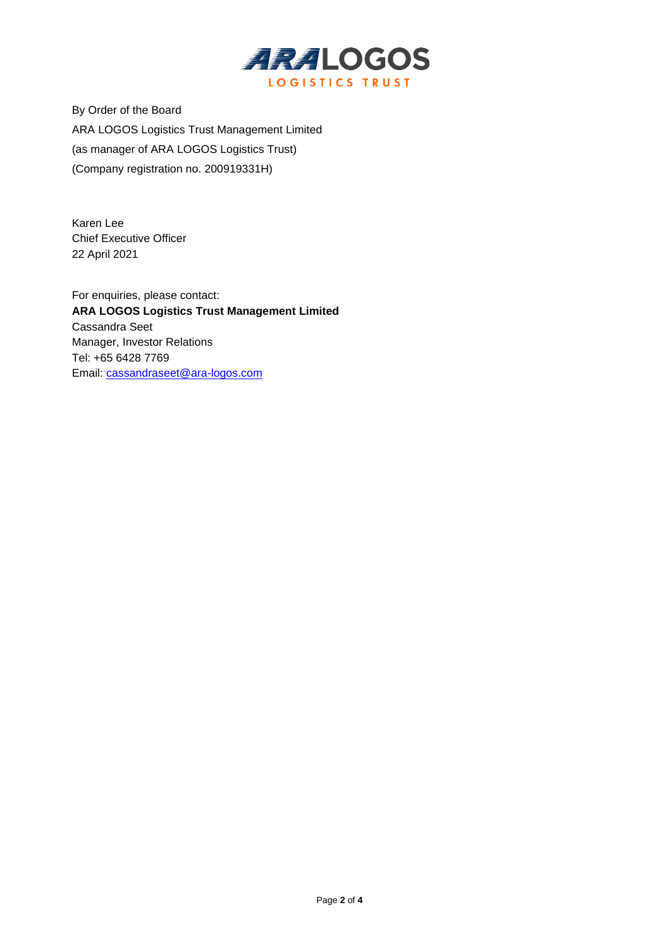

By Order of the Board ARA LOGOS Logistics Trust Management Limited (as manager of ARA LOGOS Logistics Trust) (Company registration no. 200919331H)

Karen Lee Chief Executive Officer 22 April 2021

For enquiries, please contact: **ARA LOGOS Logistics Trust Management Limited** Cassandra Seet Manager, Investor Relations Tel: +65 6428 7769 Email: [cassandraseet@ara-logos.com](mailto:cassandraseet@ara-logos.com)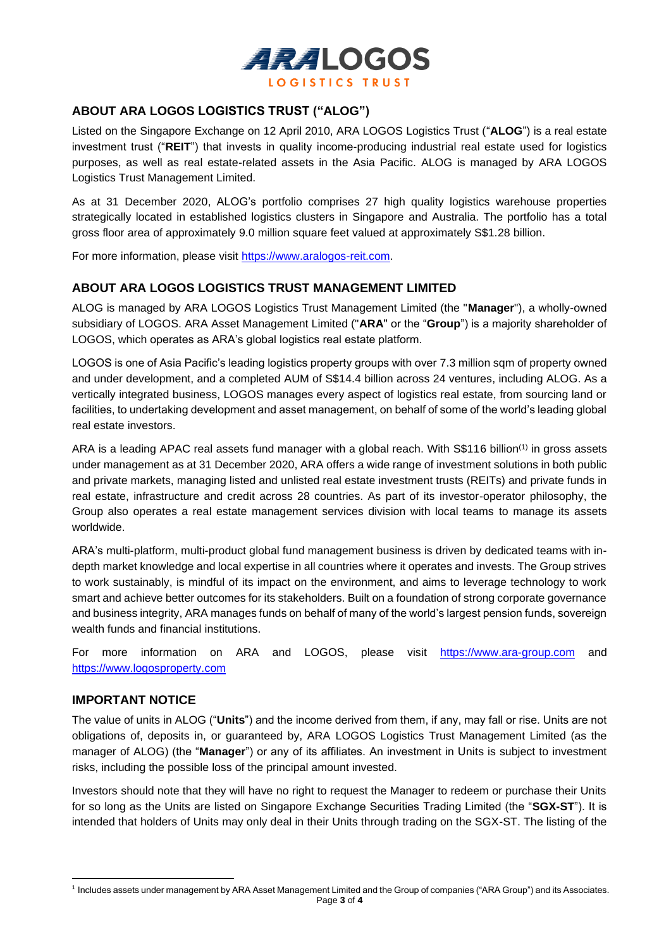

## **ABOUT ARA LOGOS LOGISTICS TRUST ("ALOG")**

Listed on the Singapore Exchange on 12 April 2010, ARA LOGOS Logistics Trust ("**ALOG**") is a real estate investment trust ("**REIT**") that invests in quality income-producing industrial real estate used for logistics purposes, as well as real estate-related assets in the Asia Pacific. ALOG is managed by ARA LOGOS Logistics Trust Management Limited.

As at 31 December 2020, ALOG's portfolio comprises 27 high quality logistics warehouse properties strategically located in established logistics clusters in Singapore and Australia. The portfolio has a total gross floor area of approximately 9.0 million square feet valued at approximately S\$1.28 billion.

For more information, please visit https://www.aralogos-reit.com.

## **ABOUT ARA LOGOS LOGISTICS TRUST MANAGEMENT LIMITED**

ALOG is managed by ARA LOGOS Logistics Trust Management Limited (the "**Manager**"), a wholly-owned subsidiary of LOGOS. ARA Asset Management Limited ("**ARA**" or the "**Group**") is a majority shareholder of LOGOS, which operates as ARA's global logistics real estate platform.

LOGOS is one of Asia Pacific's leading logistics property groups with over 7.3 million sqm of property owned and under development, and a completed AUM of S\$14.4 billion across 24 ventures, including ALOG. As a vertically integrated business, LOGOS manages every aspect of logistics real estate, from sourcing land or facilities, to undertaking development and asset management, on behalf of some of the world's leading global real estate investors.

ARA is a leading APAC real assets fund manager with a global reach. With S\$116 billion<sup>(1)</sup> in gross assets under management as at 31 December 2020, ARA offers a wide range of investment solutions in both public and private markets, managing listed and unlisted real estate investment trusts (REITs) and private funds in real estate, infrastructure and credit across 28 countries. As part of its investor-operator philosophy, the Group also operates a real estate management services division with local teams to manage its assets worldwide.

ARA's multi-platform, multi-product global fund management business is driven by dedicated teams with indepth market knowledge and local expertise in all countries where it operates and invests. The Group strives to work sustainably, is mindful of its impact on the environment, and aims to leverage technology to work smart and achieve better outcomes for its stakeholders. Built on a foundation of strong corporate governance and business integrity, ARA manages funds on behalf of many of the world's largest pension funds, sovereign wealth funds and financial institutions.

For more information on ARA and LOGOS, please visit [https://www.ara-group.com](https://www.ara-group.com/) and [https://www.logosproperty.com](https://www.logosproperty.com/)

## **IMPORTANT NOTICE**

The value of units in ALOG ("**Units**") and the income derived from them, if any, may fall or rise. Units are not obligations of, deposits in, or guaranteed by, ARA LOGOS Logistics Trust Management Limited (as the manager of ALOG) (the "**Manager**") or any of its affiliates. An investment in Units is subject to investment risks, including the possible loss of the principal amount invested.

Investors should note that they will have no right to request the Manager to redeem or purchase their Units for so long as the Units are listed on Singapore Exchange Securities Trading Limited (the "**SGX-ST**"). It is intended that holders of Units may only deal in their Units through trading on the SGX-ST. The listing of the

Page **3** of **4** 1 Includes assets under management by ARA Asset Management Limited and the Group of companies ("ARA Group") and its Associates.